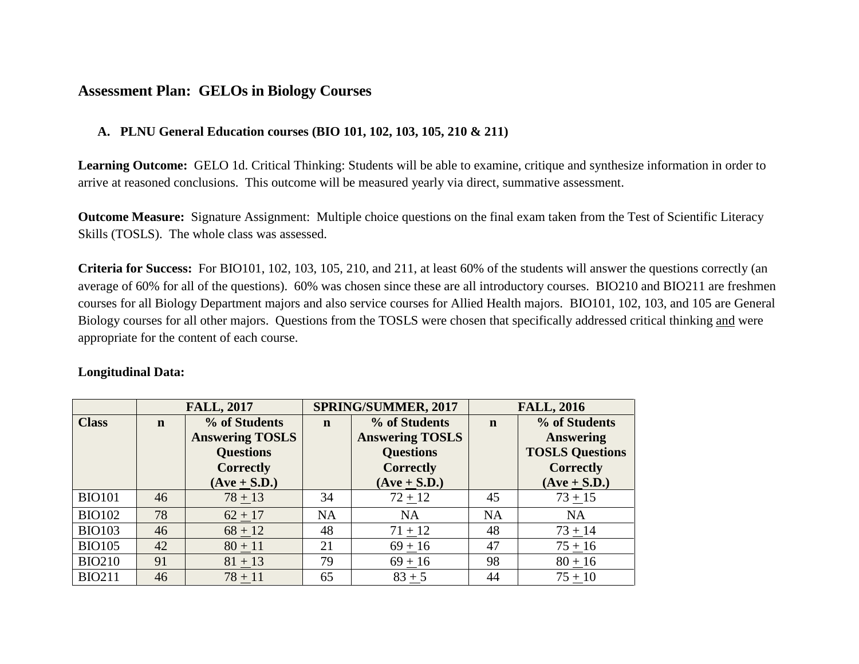## **Assessment Plan: GELOs in Biology Courses**

## **A. PLNU General Education courses (BIO 101, 102, 103, 105, 210 & 211)**

**Learning Outcome:**GELO 1d. Critical Thinking: Students will be able to examine, critique and synthesize information in order to arrive at reasoned conclusions. This outcome will be measured yearly via direct, summative assessment.

**Outcome Measure:** Signature Assignment: Multiple choice questions on the final exam taken from the Test of Scientific Literacy Skills (TOSLS). The whole class was assessed.

**Criteria for Success:** For BIO101, 102, 103, 105, 210, and 211, at least 60% of the students will answer the questions correctly (an average of 60% for all of the questions). 60% was chosen since these are all introductory courses. BIO210 and BIO211 are freshmen courses for all Biology Department majors and also service courses for Allied Health majors. BIO101, 102, 103, and 105 are General Biology courses for all other majors. Questions from the TOSLS were chosen that specifically addressed critical thinking and were appropriate for the content of each course.

## **Longitudinal Data:**

|               | <b>FALL, 2017</b> |                        | SPRING/SUMMER, 2017 |                        | <b>FALL, 2016</b> |                        |
|---------------|-------------------|------------------------|---------------------|------------------------|-------------------|------------------------|
| <b>Class</b>  | $\mathbf n$       | % of Students          | $\mathbf n$         | % of Students          | $\mathbf n$       | % of Students          |
|               |                   | <b>Answering TOSLS</b> |                     | <b>Answering TOSLS</b> |                   | <b>Answering</b>       |
|               |                   | <b>Questions</b>       |                     | <b>Questions</b>       |                   | <b>TOSLS Questions</b> |
|               |                   | <b>Correctly</b>       |                     | <b>Correctly</b>       |                   | <b>Correctly</b>       |
|               |                   | $(Ave + S.D.)$         |                     | $(Ave + S.D.)$         |                   | $(Ave + S.D.)$         |
| <b>BIO101</b> | 46                | $78 + 13$              | 34                  | $72 + 12$              | 45                | $73 + 15$              |
| <b>BIO102</b> | 78                | $62 + 17$              | <b>NA</b>           | <b>NA</b>              | <b>NA</b>         | <b>NA</b>              |
| <b>BIO103</b> | 46                | $68 + 12$              | 48                  | $71 + 12$              | 48                | $73 + 14$              |
| <b>BIO105</b> | 42                | $80 + 11$              | 21                  | $69 + 16$              | 47                | $75 + 16$              |
| <b>BIO210</b> | 91                | $81 + 13$              | 79                  | $69 + 16$              | 98                | $80 + 16$              |
| <b>BIO211</b> | 46                | $78 + 11$              | 65                  | $83 + 5$               | 44                | $75 + 10$              |